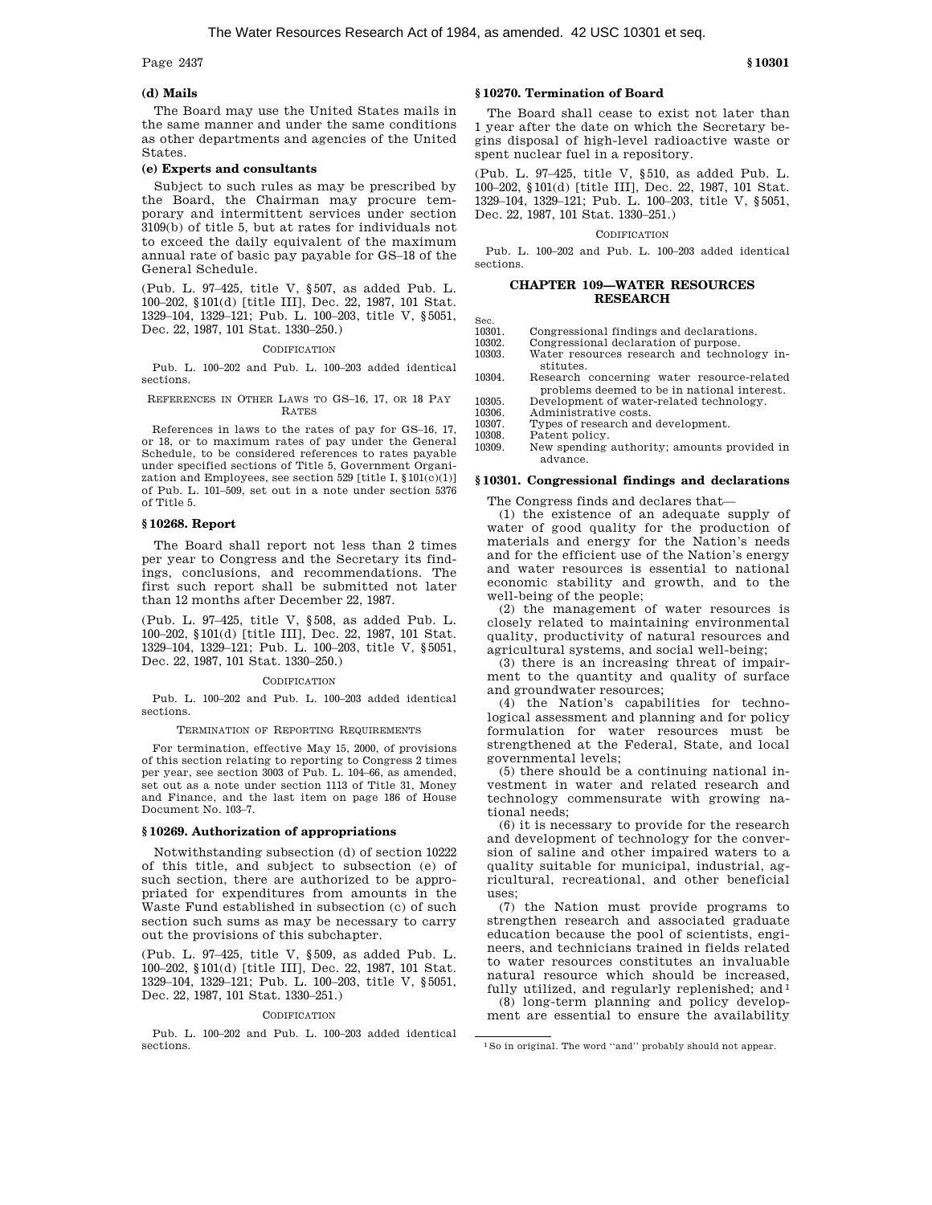Page 2437 **§ 10301** 

# **(d) Mails**

The Board may use the United States mails in the same manner and under the same conditions as other departments and agencies of the United States.

## **(e) Experts and consultants**

Subject to such rules as may be prescribed by the Board, the Chairman may procure temporary and intermittent services under section 3109(b) of title 5, but at rates for individuals not to exceed the daily equivalent of the maximum annual rate of basic pay payable for GS–18 of the General Schedule.

(Pub. L. 97–425, title V, § 507, as added Pub. L. 100–202, §101(d) [title III], Dec. 22, 1987, 101 Stat. 1329–104, 1329–121; Pub. L. 100–203, title V, §5051, Dec. 22, 1987, 101 Stat. 1330–250.)

# **CODIFICATION**

Pub. L. 100–202 and Pub. L. 100–203 added identical sections.

REFERENCES IN OTHER LAWS TO GS–16, 17, OR 18 PAY RATES

References in laws to the rates of pay for GS–16, 17, or 18, or to maximum rates of pay under the General Schedule, to be considered references to rates payable under specified sections of Title 5, Government Organization and Employees, see section 529 [title I,  $$101(c)(1)]$ of Pub. L. 101–509, set out in a note under section 5376 of Title 5.

# **§ 10268. Report**

The Board shall report not less than 2 times per year to Congress and the Secretary its findings, conclusions, and recommendations. The first such report shall be submitted not later than 12 months after December 22, 1987.

(Pub. L. 97–425, title V, § 508, as added Pub. L. 100–202, §101(d) [title III], Dec. 22, 1987, 101 Stat. 1329–104, 1329–121; Pub. L. 100–203, title V, §5051, Dec. 22, 1987, 101 Stat. 1330–250.)

#### CODIFICATION

Pub. L. 100–202 and Pub. L. 100–203 added identical sections.

TERMINATION OF REPORTING REQUIREMENTS

For termination, effective May 15, 2000, of provisions of this section relating to reporting to Congress 2 times per year, see section 3003 of Pub. L. 104–66, as amended, set out as a note under section 1113 of Title 31, Money and Finance, and the last item on page 186 of House Document No. 103–7.

## **§ 10269. Authorization of appropriations**

Notwithstanding subsection (d) of section 10222 of this title, and subject to subsection (e) of such section, there are authorized to be appropriated for expenditures from amounts in the Waste Fund established in subsection (c) of such section such sums as may be necessary to carry out the provisions of this subchapter.

(Pub. L. 97–425, title V, § 509, as added Pub. L. 100–202, §101(d) [title III], Dec. 22, 1987, 101 Stat. 1329–104, 1329–121; Pub. L. 100–203, title V, §5051, Dec. 22, 1987, 101 Stat. 1330–251.)

#### **CODIFICATION**

Pub. L. 100–202 and Pub. L. 100–203 added identical sections.

## **§ 10270. Termination of Board**

The Board shall cease to exist not later than 1 year after the date on which the Secretary begins disposal of high-level radioactive waste or spent nuclear fuel in a repository.

(Pub. L. 97–425, title V, § 510, as added Pub. L. 100–202, §101(d) [title III], Dec. 22, 1987, 101 Stat. 1329–104, 1329–121; Pub. L. 100–203, title V, §5051, Dec. 22, 1987, 101 Stat. 1330–251.)

#### **CODIFICATION**

Pub. L. 100–202 and Pub. L. 100–203 added identical sections.

## **CHAPTER 109—WATER RESOURCES RESEARCH**

Sec.<br>10301.

Congressional findings and declarations.

- 10302. Congressional declaration of purpose. Water resources research and technology institutes.
- 10304. Research concerning water resource-related problems deemed to be in national interest.
- 10305. Development of water-related technology.<br>10306. Administrative costs.
- 10306. Administrative costs.<br>10307. Types of research and Types of research and development.
- 10308. Patent policy.

10309. New spending authority; amounts provided in advance.

#### **§ 10301. Congressional findings and declarations**

The Congress finds and declares that—

(1) the existence of an adequate supply of water of good quality for the production of materials and energy for the Nation's needs and for the efficient use of the Nation's energy and water resources is essential to national economic stability and growth, and to the well-being of the people;

(2) the management of water resources is closely related to maintaining environmental quality, productivity of natural resources and agricultural systems, and social well-being;

(3) there is an increasing threat of impairment to the quantity and quality of surface and groundwater resources;

(4) the Nation's capabilities for technological assessment and planning and for policy formulation for water resources must be strengthened at the Federal, State, and local governmental levels;

(5) there should be a continuing national investment in water and related research and technology commensurate with growing national needs;

(6) it is necessary to provide for the research and development of technology for the conversion of saline and other impaired waters to a quality suitable for municipal, industrial, agricultural, recreational, and other beneficial uses;

(7) the Nation must provide programs to strengthen research and associated graduate education because the pool of scientists, engineers, and technicians trained in fields related to water resources constitutes an invaluable natural resource which should be increased, fully utilized, and regularly replenished; and  $1$ 

(8) long-term planning and policy development are essential to ensure the availability

<sup>1</sup>So in original. The word ''and'' probably should not appear.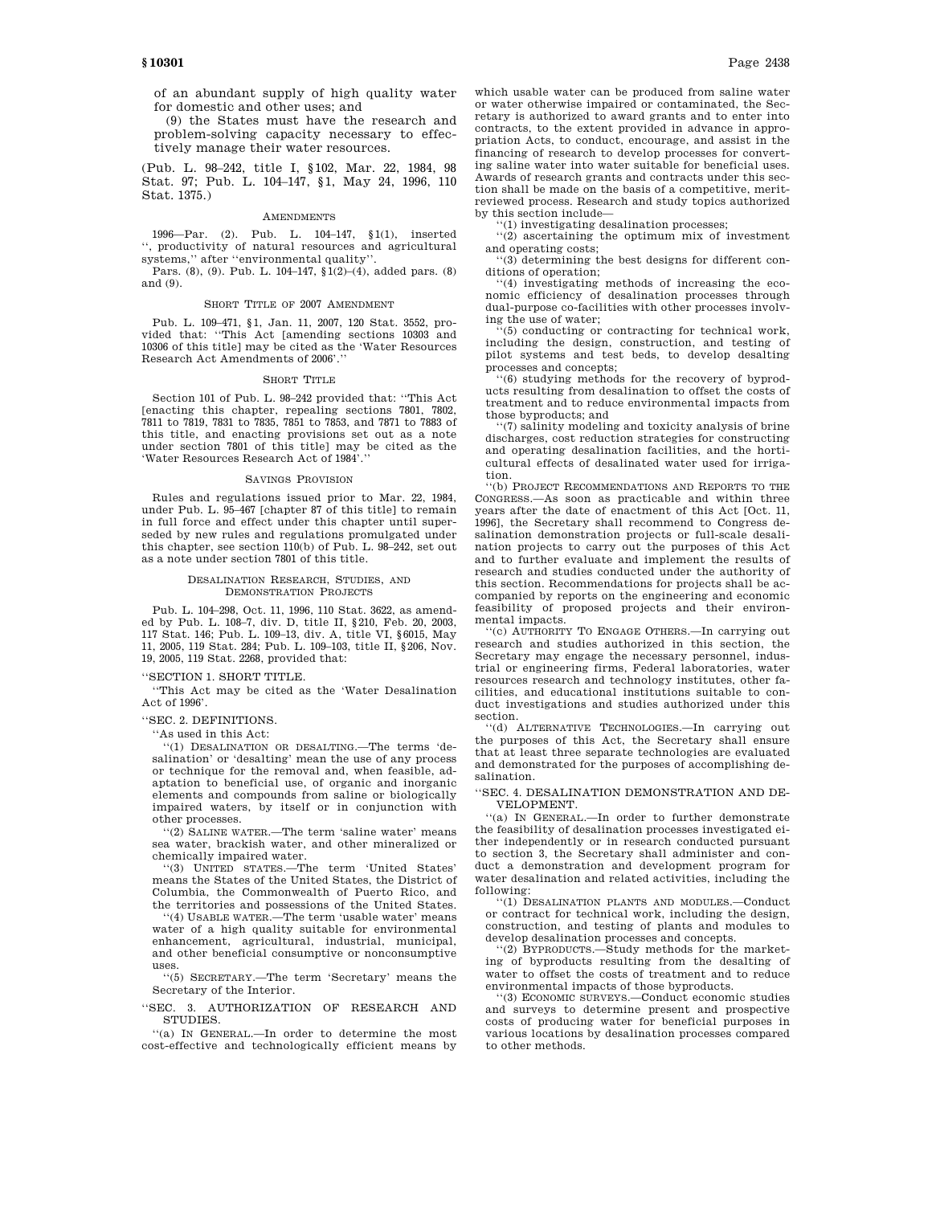**§ 10301** Page 2438

of an abundant supply of high quality water for domestic and other uses; and

(9) the States must have the research and problem-solving capacity necessary to effectively manage their water resources.

(Pub. L. 98–242, title I, §102, Mar. 22, 1984, 98 Stat. 97; Pub. L. 104–147, §1, May 24, 1996, 110 Stat. 1375.)

#### AMENDMENTS

1996—Par. (2). Pub. L. 104–147, §1(1), inserted '', productivity of natural resources and agricultural systems,'' after ''environmental quality''.

Pars. (8), (9). Pub. L. 104–147, §1(2)–(4), added pars. (8) and (9).

#### SHORT TITLE OF 2007 AMENDMENT

Pub. L. 109–471, §1, Jan. 11, 2007, 120 Stat. 3552, provided that: ''This Act [amending sections 10303 and 10306 of this title] may be cited as the 'Water Resources Research Act Amendments of 2006'.''

#### SHORT TITLE

Section 101 of Pub. L. 98–242 provided that: ''This Act [enacting this chapter, repealing sections 7801, 7802, 7811 to 7819, 7831 to 7835, 7851 to 7853, and 7871 to 7883 of this title, and enacting provisions set out as a note under section 7801 of this title] may be cited as the 'Water Resources Research Act of 1984'.''

#### SAVINGS PROVISION

Rules and regulations issued prior to Mar. 22, 1984, under Pub. L. 95–467 [chapter 87 of this title] to remain in full force and effect under this chapter until superseded by new rules and regulations promulgated under this chapter, see section 110(b) of Pub. L. 98–242, set out as a note under section 7801 of this title.

## DESALINATION RESEARCH, STUDIES, AND DEMONSTRATION PROJECTS

Pub. L. 104–298, Oct. 11, 1996, 110 Stat. 3622, as amended by Pub. L. 108–7, div. D, title II, §210, Feb. 20, 2003, 117 Stat. 146; Pub. L. 109–13, div. A, title VI, §6015, May 11, 2005, 119 Stat. 284; Pub. L. 109–103, title II, §206, Nov. 19, 2005, 119 Stat. 2268, provided that:

# ''SECTION 1. SHORT TITLE.

''This Act may be cited as the 'Water Desalination Act of 1996'.

#### ''SEC. 2. DEFINITIONS.

''As used in this Act:

''(1) DESALINATION OR DESALTING.—The terms 'desalination' or 'desalting' mean the use of any process or technique for the removal and, when feasible, adaptation to beneficial use, of organic and inorganic elements and compounds from saline or biologically impaired waters, by itself or in conjunction with other processes.

''(2) SALINE WATER.—The term 'saline water' means sea water, brackish water, and other mineralized or chemically impaired water.

''(3) UNITED STATES.—The term 'United States' means the States of the United States, the District of Columbia, the Commonwealth of Puerto Rico, and the territories and possessions of the United States.

''(4) USABLE WATER.—The term 'usable water' means water of a high quality suitable for environmental enhancement, agricultural, industrial, municipal, and other beneficial consumptive or nonconsumptive uses.

''(5) SECRETARY.—The term 'Secretary' means the Secretary of the Interior.

''SEC. 3. AUTHORIZATION OF RESEARCH AND STUDIES.

''(a) IN GENERAL.—In order to determine the most cost-effective and technologically efficient means by which usable water can be produced from saline water or water otherwise impaired or contaminated, the Secretary is authorized to award grants and to enter into contracts, to the extent provided in advance in appropriation Acts, to conduct, encourage, and assist in the financing of research to develop processes for converting saline water into water suitable for beneficial uses. Awards of research grants and contracts under this section shall be made on the basis of a competitive, meritreviewed process. Research and study topics authorized by this section include—

''(1) investigating desalination processes; ''(2) ascertaining the optimum mix of investment and operating costs;

''(3) determining the best designs for different conditions of operation;

'(4) investigating methods of increasing the economic efficiency of desalination processes through dual-purpose co-facilities with other processes involving the use of water;

 $(5)$  conducting or contracting for technical work, including the design, construction, and testing of pilot systems and test beds, to develop desalting processes and concepts;

 $(6)$  studying methods for the recovery of byproducts resulting from desalination to offset the costs of treatment and to reduce environmental impacts from those byproducts; and

''(7) salinity modeling and toxicity analysis of brine discharges, cost reduction strategies for constructing and operating desalination facilities, and the horticultural effects of desalinated water used for irrigation.

''(b) PROJECT RECOMMENDATIONS AND REPORTS TO THE CONGRESS.—As soon as practicable and within three years after the date of enactment of this Act [Oct. 11, 1996], the Secretary shall recommend to Congress desalination demonstration projects or full-scale desalination projects to carry out the purposes of this Act and to further evaluate and implement the results of research and studies conducted under the authority of this section. Recommendations for projects shall be accompanied by reports on the engineering and economic feasibility of proposed projects and their environmental impacts.

''(c) AUTHORITY TO ENGAGE OTHERS.—In carrying out research and studies authorized in this section, the Secretary may engage the necessary personnel, industrial or engineering firms, Federal laboratories, water resources research and technology institutes, other facilities, and educational institutions suitable to conduct investigations and studies authorized under this section.

''(d) ALTERNATIVE TECHNOLOGIES.—In carrying out the purposes of this Act, the Secretary shall ensure that at least three separate technologies are evaluated and demonstrated for the purposes of accomplishing desalination.

''SEC. 4. DESALINATION DEMONSTRATION AND DE-VELOPMENT.

''(a) IN GENERAL.—In order to further demonstrate the feasibility of desalination processes investigated either independently or in research conducted pursuant to section 3, the Secretary shall administer and conduct a demonstration and development program for water desalination and related activities, including the following:

''(1) DESALINATION PLANTS AND MODULES.—Conduct or contract for technical work, including the design, construction, and testing of plants and modules to

develop desalination processes and concepts. ''(2) BYPRODUCTS.—Study methods for the marketing of byproducts resulting from the desalting of water to offset the costs of treatment and to reduce environmental impacts of those byproducts.

''(3) ECONOMIC SURVEYS.—Conduct economic studies and surveys to determine present and prospective costs of producing water for beneficial purposes in various locations by desalination processes compared to other methods.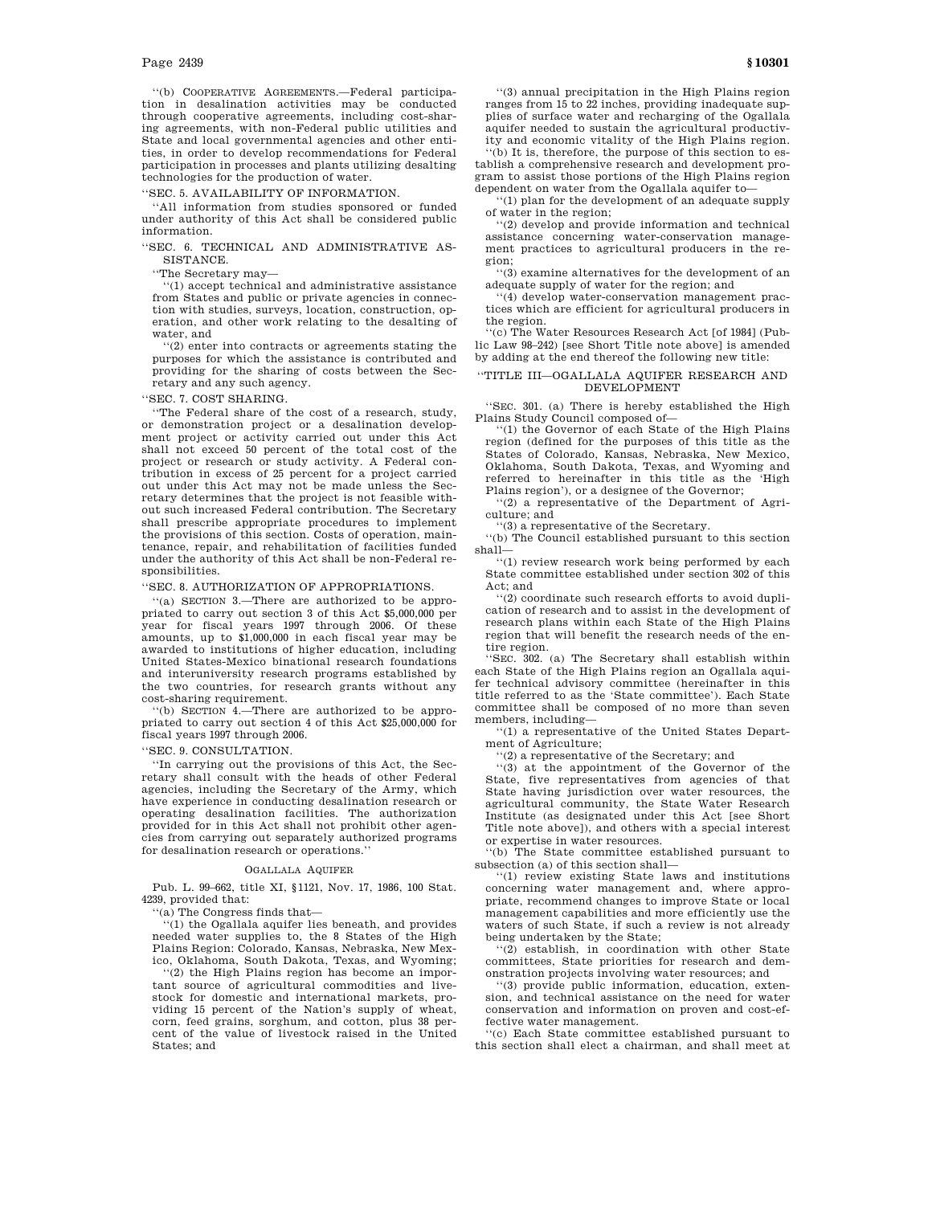''(b) COOPERATIVE AGREEMENTS.—Federal participation in desalination activities may be conducted through cooperative agreements, including cost-sharing agreements, with non-Federal public utilities and State and local governmental agencies and other entities, in order to develop recommendations for Federal participation in processes and plants utilizing desalting technologies for the production of water.

''SEC. 5. AVAILABILITY OF INFORMATION.

''All information from studies sponsored or funded under authority of this Act shall be considered public information.

''SEC. 6. TECHNICAL AND ADMINISTRATIVE AS-SISTANCE.

''The Secretary may—

''(1) accept technical and administrative assistance from States and public or private agencies in connection with studies, surveys, location, construction, operation, and other work relating to the desalting of water, and

''(2) enter into contracts or agreements stating the purposes for which the assistance is contributed and providing for the sharing of costs between the Secretary and any such agency.

''SEC. 7. COST SHARING.

''The Federal share of the cost of a research, study, or demonstration project or a desalination development project or activity carried out under this Act shall not exceed 50 percent of the total cost of the project or research or study activity. A Federal contribution in excess of 25 percent for a project carried out under this Act may not be made unless the Secretary determines that the project is not feasible without such increased Federal contribution. The Secretary shall prescribe appropriate procedures to implement the provisions of this section. Costs of operation, maintenance, repair, and rehabilitation of facilities funded under the authority of this Act shall be non-Federal responsibilities.

''SEC. 8. AUTHORIZATION OF APPROPRIATIONS.

''(a) SECTION 3.—There are authorized to be appropriated to carry out section 3 of this Act \$5,000,000 per year for fiscal years 1997 through 2006. Of these amounts, up to \$1,000,000 in each fiscal year may be awarded to institutions of higher education, including United States-Mexico binational research foundations and interuniversity research programs established by the two countries, for research grants without any cost-sharing requirement.

''(b) SECTION 4.—There are authorized to be appropriated to carry out section 4 of this Act \$25,000,000 for fiscal years 1997 through 2006.

''SEC. 9. CONSULTATION.

''In carrying out the provisions of this Act, the Secretary shall consult with the heads of other Federal agencies, including the Secretary of the Army, which have experience in conducting desalination research or operating desalination facilities. The authorization provided for in this Act shall not prohibit other agencies from carrying out separately authorized programs for desalination research or operations.''

#### OGALLALA AQUIFER

Pub. L. 99–662, title XI, §1121, Nov. 17, 1986, 100 Stat. 4239, provided that:

''(a) The Congress finds that—

'(1) the Ogallala aquifer lies beneath, and provides needed water supplies to, the 8 States of the High Plains Region: Colorado, Kansas, Nebraska, New Mexico, Oklahoma, South Dakota, Texas, and Wyoming;

''(2) the High Plains region has become an important source of agricultural commodities and livestock for domestic and international markets, providing 15 percent of the Nation's supply of wheat, corn, feed grains, sorghum, and cotton, plus 38 percent of the value of livestock raised in the United States; and

''(3) annual precipitation in the High Plains region ranges from 15 to 22 inches, providing inadequate supplies of surface water and recharging of the Ogallala aquifer needed to sustain the agricultural productivity and economic vitality of the High Plains region. ''(b) It is, therefore, the purpose of this section to es-

tablish a comprehensive research and development program to assist those portions of the High Plains region dependent on water from the Ogallala aquifer to—

'(1) plan for the development of an adequate supply of water in the region;

'(2) develop and provide information and technical assistance concerning water-conservation management practices to agricultural producers in the region;

''(3) examine alternatives for the development of an adequate supply of water for the region; and

''(4) develop water-conservation management practices which are efficient for agricultural producers in the region.

''(c) The Water Resources Research Act [of 1984] (Public Law 98–242) [see Short Title note above] is amended by adding at the end thereof the following new title:

## ''TITLE III—OGALLALA AQUIFER RESEARCH AND DEVELOPMENT

''SEC. 301. (a) There is hereby established the High Plains Study Council composed of—

''(1) the Governor of each State of the High Plains region (defined for the purposes of this title as the States of Colorado, Kansas, Nebraska, New Mexico, Oklahoma, South Dakota, Texas, and Wyoming and referred to hereinafter in this title as the 'High Plains region'), or a designee of the Governor;

''(2) a representative of the Department of Agriculture; and

''(3) a representative of the Secretary.

''(b) The Council established pursuant to this section shall—

''(1) review research work being performed by each State committee established under section 302 of this Act; and

''(2) coordinate such research efforts to avoid duplication of research and to assist in the development of research plans within each State of the High Plains region that will benefit the research needs of the entire region.

''SEC. 302. (a) The Secretary shall establish within each State of the High Plains region an Ogallala aquifer technical advisory committee (hereinafter in this title referred to as the 'State committee'). Each State committee shall be composed of no more than seven members, including—

''(1) a representative of the United States Department of Agriculture;

''(2) a representative of the Secretary; and

''(3) at the appointment of the Governor of the State, five representatives from agencies of that State having jurisdiction over water resources, the agricultural community, the State Water Research Institute (as designated under this Act [see Short Title note above]), and others with a special interest or expertise in water resources.

''(b) The State committee established pursuant to subsection (a) of this section shall—

''(1) review existing State laws and institutions concerning water management and, where appropriate, recommend changes to improve State or local management capabilities and more efficiently use the waters of such State, if such a review is not already being undertaken by the State;

''(2) establish, in coordination with other State committees, State priorities for research and demonstration projects involving water resources; and

''(3) provide public information, education, extension, and technical assistance on the need for water conservation and information on proven and cost-effective water management.

''(c) Each State committee established pursuant to this section shall elect a chairman, and shall meet at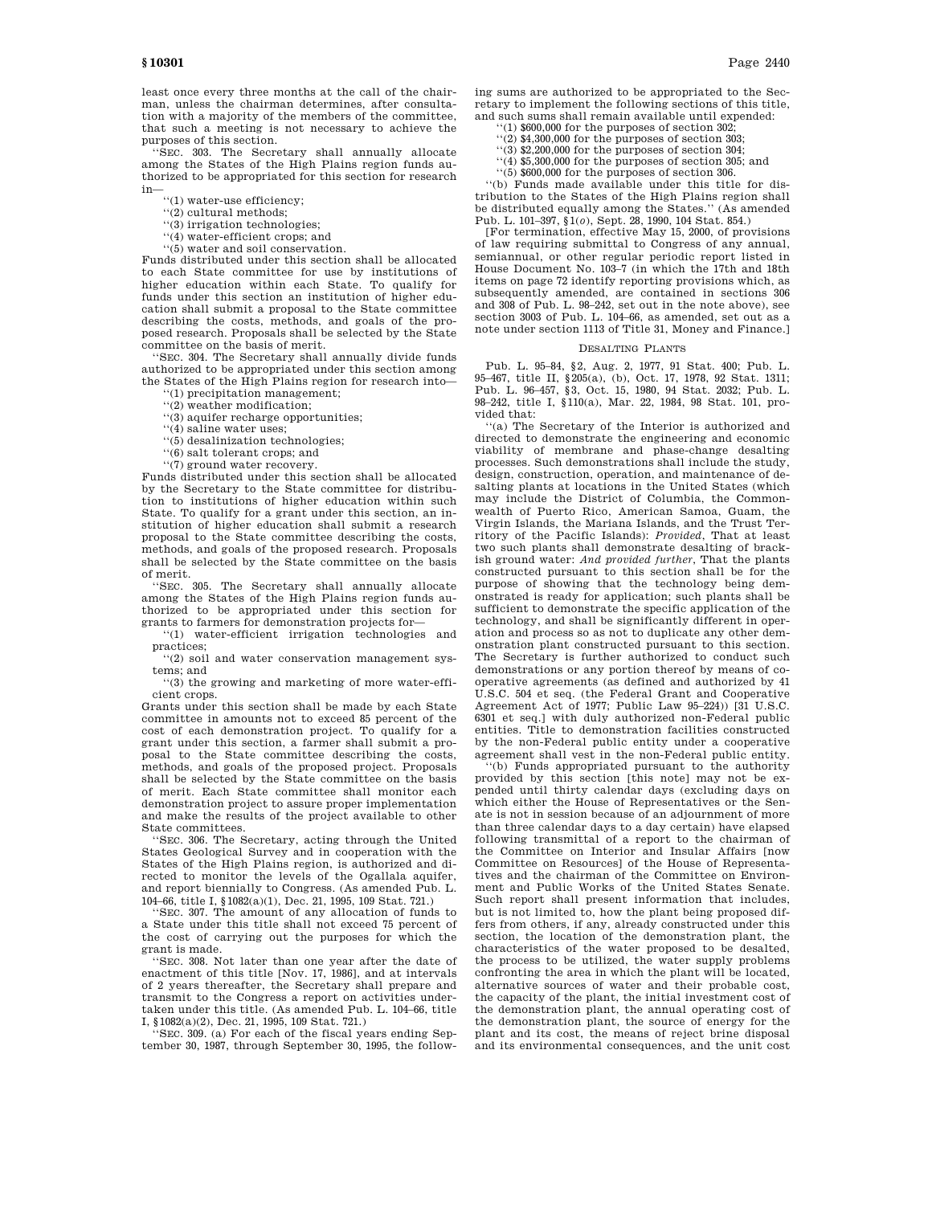least once every three months at the call of the chairman, unless the chairman determines, after consultation with a majority of the members of the committee, that such a meeting is not necessary to achieve the purposes of this section.

''SEC. 303. The Secretary shall annually allocate among the States of the High Plains region funds authorized to be appropriated for this section for research in—

''(1) water-use efficiency;

''(2) cultural methods;

- ''(3) irrigation technologies;
- ''(4) water-efficient crops; and
- ''(5) water and soil conservation.

Funds distributed under this section shall be allocated to each State committee for use by institutions of higher education within each State. To qualify for funds under this section an institution of higher education shall submit a proposal to the State committee describing the costs, methods, and goals of the proposed research. Proposals shall be selected by the State committee on the basis of merit.

''SEC. 304. The Secretary shall annually divide funds authorized to be appropriated under this section among the States of the High Plains region for research into—

'(1) precipitation management;

''(2) weather modification;

''(3) aquifer recharge opportunities;

''(4) saline water uses;

''(5) desalinization technologies;

''(6) salt tolerant crops; and ''(7) ground water recovery.

Funds distributed under this section shall be allocated by the Secretary to the State committee for distribution to institutions of higher education within such State. To qualify for a grant under this section, an institution of higher education shall submit a research proposal to the State committee describing the costs, methods, and goals of the proposed research. Proposals shall be selected by the State committee on the basis of merit.

''SEC. 305. The Secretary shall annually allocate among the States of the High Plains region funds authorized to be appropriated under this section for grants to farmers for demonstration projects for—

''(1) water-efficient irrigation technologies and practices;

''(2) soil and water conservation management systems; and

''(3) the growing and marketing of more water-efficient crops.

Grants under this section shall be made by each State committee in amounts not to exceed 85 percent of the cost of each demonstration project. To qualify for a grant under this section, a farmer shall submit a proposal to the State committee describing the costs, methods, and goals of the proposed project. Proposals shall be selected by the State committee on the basis of merit. Each State committee shall monitor each demonstration project to assure proper implementation and make the results of the project available to other State committees.

''SEC. 306. The Secretary, acting through the United States Geological Survey and in cooperation with the States of the High Plains region, is authorized and directed to monitor the levels of the Ogallala aquifer, and report biennially to Congress. (As amended Pub. L. 104–66, title I, §1082(a)(1), Dec. 21, 1995, 109 Stat. 721.)

"SEC.  $307$ . The amount of any allocation of funds to a State under this title shall not exceed 75 percent of the cost of carrying out the purposes for which the grant is made.

''SEC. 308. Not later than one year after the date of enactment of this title [Nov. 17, 1986], and at intervals of 2 years thereafter, the Secretary shall prepare and transmit to the Congress a report on activities undertaken under this title. (As amended Pub. L. 104–66, title

I, §1082(a)(2), Dec. 21, 1995, 109 Stat. 721.) ''SEC. 309. (a) For each of the fiscal years ending September 30, 1987, through September 30, 1995, the following sums are authorized to be appropriated to the Secretary to implement the following sections of this title, and such sums shall remain available until expended:

- $(1)$  \$600,000 for the purposes of section 302
- ''(2) \$4,300,000 for the purposes of section 303;
- $(3)$  \$2,200,000 for the purposes of section 304; ''(4) \$5,300,000 for the purposes of section 305; and
- ''(5) \$600,000 for the purposes of section 306.

''(b) Funds made available under this title for dis-

tribution to the States of the High Plains region shall be distributed equally among the States.'' (As amended Pub. L. 101–397, §1(*o*), Sept. 28, 1990, 104 Stat. 854.)

[For termination, effective May 15, 2000, of provisions of law requiring submittal to Congress of any annual, semiannual, or other regular periodic report listed in House Document No. 103–7 (in which the 17th and 18th items on page 72 identify reporting provisions which, as subsequently amended, are contained in sections 306 and 308 of Pub. L. 98–242, set out in the note above), see section 3003 of Pub. L. 104–66, as amended, set out as a note under section 1113 of Title 31, Money and Finance.]

# DESALTING PLANTS

Pub. L. 95–84, §2, Aug. 2, 1977, 91 Stat. 400; Pub. L. 95–467, title II, §205(a), (b), Oct. 17, 1978, 92 Stat. 1311; Pub. L. 96–457, §3, Oct. 15, 1980, 94 Stat. 2032; Pub. L. 98–242, title I, §110(a), Mar. 22, 1984, 98 Stat. 101, provided that:

'(a) The Secretary of the Interior is authorized and directed to demonstrate the engineering and economic viability of membrane and phase-change desalting processes. Such demonstrations shall include the study, design, construction, operation, and maintenance of desalting plants at locations in the United States (which may include the District of Columbia, the Commonwealth of Puerto Rico, American Samoa, Guam, the Virgin Islands, the Mariana Islands, and the Trust Territory of the Pacific Islands): *Provided*, That at least two such plants shall demonstrate desalting of brackish ground water: *And provided further*, That the plants constructed pursuant to this section shall be for the purpose of showing that the technology being demonstrated is ready for application; such plants shall be sufficient to demonstrate the specific application of the technology, and shall be significantly different in operation and process so as not to duplicate any other demonstration plant constructed pursuant to this section. The Secretary is further authorized to conduct such demonstrations or any portion thereof by means of cooperative agreements (as defined and authorized by 41 U.S.C. 504 et seq. (the Federal Grant and Cooperative Agreement Act of 1977; Public Law 95–224)) [31 U.S.C. 6301 et seq.] with duly authorized non-Federal public entities. Title to demonstration facilities constructed by the non-Federal public entity under a cooperative agreement shall vest in the non-Federal public entity.

''(b) Funds appropriated pursuant to the authority provided by this section [this note] may not be expended until thirty calendar days (excluding days on which either the House of Representatives or the Senate is not in session because of an adjournment of more than three calendar days to a day certain) have elapsed following transmittal of a report to the chairman of the Committee on Interior and Insular Affairs [now Committee on Resources] of the House of Representatives and the chairman of the Committee on Environment and Public Works of the United States Senate. Such report shall present information that includes, but is not limited to, how the plant being proposed differs from others, if any, already constructed under this section, the location of the demonstration plant, the characteristics of the water proposed to be desalted, the process to be utilized, the water supply problems confronting the area in which the plant will be located, alternative sources of water and their probable cost, the capacity of the plant, the initial investment cost of the demonstration plant, the annual operating cost of the demonstration plant, the source of energy for the plant and its cost, the means of reject brine disposal and its environmental consequences, and the unit cost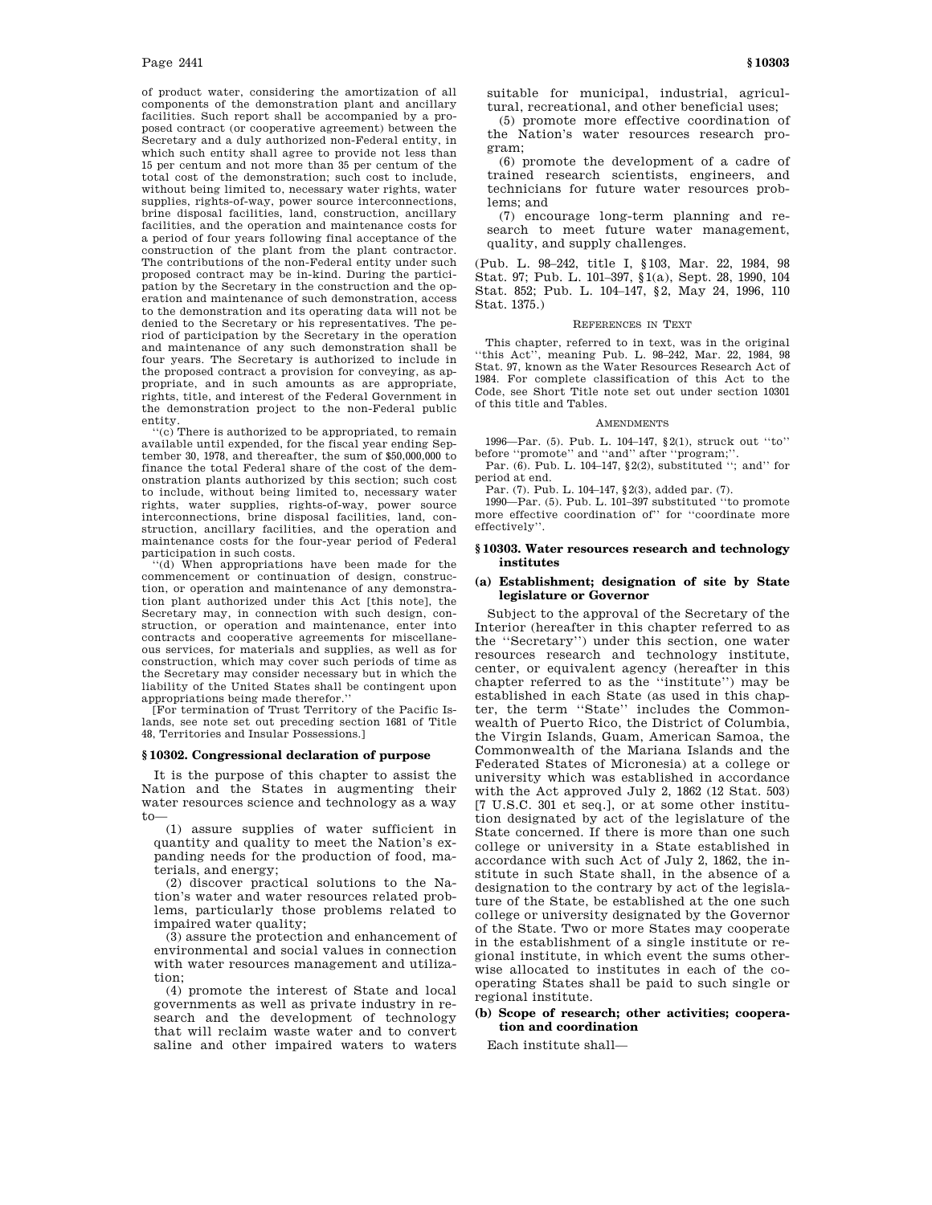of product water, considering the amortization of all components of the demonstration plant and ancillary facilities. Such report shall be accompanied by a proposed contract (or cooperative agreement) between the Secretary and a duly authorized non-Federal entity, in which such entity shall agree to provide not less than 15 per centum and not more than 35 per centum of the total cost of the demonstration; such cost to include, without being limited to, necessary water rights, water supplies, rights-of-way, power source interconnections, brine disposal facilities, land, construction, ancillary facilities, and the operation and maintenance costs for a period of four years following final acceptance of the construction of the plant from the plant contractor. The contributions of the non-Federal entity under such proposed contract may be in-kind. During the participation by the Secretary in the construction and the operation and maintenance of such demonstration, access to the demonstration and its operating data will not be denied to the Secretary or his representatives. The period of participation by the Secretary in the operation and maintenance of any such demonstration shall be four years. The Secretary is authorized to include in the proposed contract a provision for conveying, as appropriate, and in such amounts as are appropriate, rights, title, and interest of the Federal Government in the demonstration project to the non-Federal public entity. ''(c) There is authorized to be appropriated, to remain

available until expended, for the fiscal year ending September 30, 1978, and thereafter, the sum of \$50,000,000 to finance the total Federal share of the cost of the demonstration plants authorized by this section; such cost to include, without being limited to, necessary water rights, water supplies, rights-of-way, power source interconnections, brine disposal facilities, land, construction, ancillary facilities, and the operation and maintenance costs for the four-year period of Federal participation in such costs.

''(d) When appropriations have been made for the commencement or continuation of design, construction, or operation and maintenance of any demonstration plant authorized under this Act [this note], the Secretary may, in connection with such design, construction, or operation and maintenance, enter into contracts and cooperative agreements for miscellaneous services, for materials and supplies, as well as for construction, which may cover such periods of time as the Secretary may consider necessary but in which the liability of the United States shall be contingent upon appropriations being made therefor.''

[For termination of Trust Territory of the Pacific Islands, see note set out preceding section 1681 of Title 48, Territories and Insular Possessions.]

#### **§ 10302. Congressional declaration of purpose**

It is the purpose of this chapter to assist the Nation and the States in augmenting their water resources science and technology as a way  $t_0$ 

(1) assure supplies of water sufficient in quantity and quality to meet the Nation's expanding needs for the production of food, materials, and energy;

(2) discover practical solutions to the Nation's water and water resources related problems, particularly those problems related to impaired water quality;

(3) assure the protection and enhancement of environmental and social values in connection with water resources management and utilization;

(4) promote the interest of State and local governments as well as private industry in research and the development of technology that will reclaim waste water and to convert saline and other impaired waters to waters

(5) promote more effective coordination of the Nation's water resources research program;

(6) promote the development of a cadre of trained research scientists, engineers, and technicians for future water resources problems; and

(7) encourage long-term planning and research to meet future water management, quality, and supply challenges.

(Pub. L. 98–242, title I, § 103, Mar. 22, 1984, 98 Stat. 97; Pub. L. 101–397, §1(a), Sept. 28, 1990, 104 Stat. 852; Pub. L. 104–147, §2, May 24, 1996, 110 Stat. 1375.)

#### REFERENCES IN TEXT

This chapter, referred to in text, was in the original this Act", meaning Pub. L. 98–242, Mar. 22, 1984, 98<sup>\*</sup> Stat. 97, known as the Water Resources Research Act of 1984. For complete classification of this Act to the Code, see Short Title note set out under section 10301 of this title and Tables.

### **AMENDMENTS**

1996—Par. (5). Pub. L. 104–147, §2(1), struck out ''to'' before "promote" and "and" after "program;'

Par. (6). Pub. L. 104–147, §2(2), substituted ''; and'' for period at end.

Par. (7). Pub. L. 104–147, §2(3), added par. (7).

1990—Par. (5). Pub. L. 101–397 substituted ''to promote more effective coordination of'' for ''coordinate more effectively''.

## **§ 10303. Water resources research and technology institutes**

## **(a) Establishment; designation of site by State legislature or Governor**

Subject to the approval of the Secretary of the Interior (hereafter in this chapter referred to as the ''Secretary'') under this section, one water resources research and technology institute, center, or equivalent agency (hereafter in this chapter referred to as the ''institute'') may be established in each State (as used in this chapter, the term ''State'' includes the Commonwealth of Puerto Rico, the District of Columbia, the Virgin Islands, Guam, American Samoa, the Commonwealth of the Mariana Islands and the Federated States of Micronesia) at a college or university which was established in accordance with the Act approved July 2, 1862 (12 Stat. 503) [7 U.S.C. 301 et seq.], or at some other institution designated by act of the legislature of the State concerned. If there is more than one such college or university in a State established in accordance with such Act of July 2, 1862, the institute in such State shall, in the absence of a designation to the contrary by act of the legislature of the State, be established at the one such college or university designated by the Governor of the State. Two or more States may cooperate in the establishment of a single institute or regional institute, in which event the sums otherwise allocated to institutes in each of the cooperating States shall be paid to such single or regional institute.

# **(b) Scope of research; other activities; cooperation and coordination**

Each institute shall—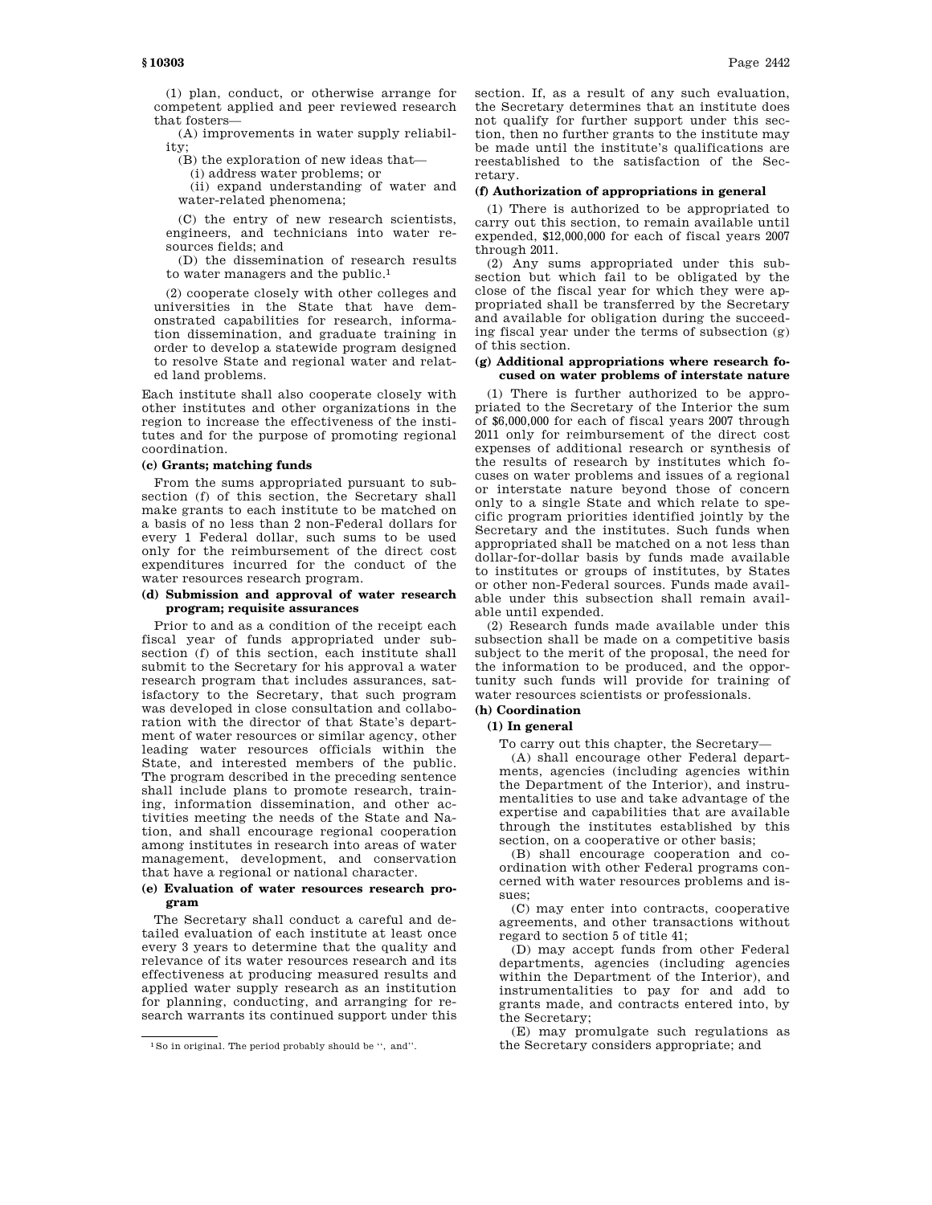(1) plan, conduct, or otherwise arrange for competent applied and peer reviewed research that fosters—

(A) improvements in water supply reliability;

(B) the exploration of new ideas that—

(i) address water problems; or

(ii) expand understanding of water and water-related phenomena;

(C) the entry of new research scientists, engineers, and technicians into water resources fields; and

(D) the dissemination of research results to water managers and the public.1

(2) cooperate closely with other colleges and universities in the State that have demonstrated capabilities for research, information dissemination, and graduate training in order to develop a statewide program designed to resolve State and regional water and related land problems.

Each institute shall also cooperate closely with other institutes and other organizations in the region to increase the effectiveness of the institutes and for the purpose of promoting regional coordination.

## **(c) Grants; matching funds**

From the sums appropriated pursuant to subsection (f) of this section, the Secretary shall make grants to each institute to be matched on a basis of no less than 2 non-Federal dollars for every 1 Federal dollar, such sums to be used only for the reimbursement of the direct cost expenditures incurred for the conduct of the water resources research program.

# **(d) Submission and approval of water research program; requisite assurances**

Prior to and as a condition of the receipt each fiscal year of funds appropriated under subsection (f) of this section, each institute shall submit to the Secretary for his approval a water research program that includes assurances, satisfactory to the Secretary, that such program was developed in close consultation and collaboration with the director of that State's department of water resources or similar agency, other leading water resources officials within the State, and interested members of the public. The program described in the preceding sentence shall include plans to promote research, training, information dissemination, and other activities meeting the needs of the State and Nation, and shall encourage regional cooperation among institutes in research into areas of water management, development, and conservation that have a regional or national character.

# **(e) Evaluation of water resources research program**

The Secretary shall conduct a careful and detailed evaluation of each institute at least once every 3 years to determine that the quality and relevance of its water resources research and its effectiveness at producing measured results and applied water supply research as an institution for planning, conducting, and arranging for research warrants its continued support under this section. If, as a result of any such evaluation, the Secretary determines that an institute does not qualify for further support under this section, then no further grants to the institute may be made until the institute's qualifications are reestablished to the satisfaction of the Secretary.

## **(f) Authorization of appropriations in general**

(1) There is authorized to be appropriated to carry out this section, to remain available until expended, \$12,000,000 for each of fiscal years 2007 through 2011.

(2) Any sums appropriated under this subsection but which fail to be obligated by the close of the fiscal year for which they were appropriated shall be transferred by the Secretary and available for obligation during the succeeding fiscal year under the terms of subsection (g) of this section.

# **(g) Additional appropriations where research focused on water problems of interstate nature**

(1) There is further authorized to be appropriated to the Secretary of the Interior the sum of \$6,000,000 for each of fiscal years 2007 through 2011 only for reimbursement of the direct cost expenses of additional research or synthesis of the results of research by institutes which focuses on water problems and issues of a regional or interstate nature beyond those of concern only to a single State and which relate to specific program priorities identified jointly by the Secretary and the institutes. Such funds when appropriated shall be matched on a not less than dollar-for-dollar basis by funds made available to institutes or groups of institutes, by States or other non-Federal sources. Funds made available under this subsection shall remain available until expended.

(2) Research funds made available under this subsection shall be made on a competitive basis subject to the merit of the proposal, the need for the information to be produced, and the opportunity such funds will provide for training of water resources scientists or professionals.

# **(h) Coordination**

# **(1) In general**

To carry out this chapter, the Secretary—

(A) shall encourage other Federal departments, agencies (including agencies within the Department of the Interior), and instrumentalities to use and take advantage of the expertise and capabilities that are available through the institutes established by this section, on a cooperative or other basis;

(B) shall encourage cooperation and coordination with other Federal programs concerned with water resources problems and issues;

(C) may enter into contracts, cooperative agreements, and other transactions without regard to section 5 of title 41;

(D) may accept funds from other Federal departments, agencies (including agencies within the Department of the Interior), and instrumentalities to pay for and add to grants made, and contracts entered into, by the Secretary;

(E) may promulgate such regulations as the Secretary considers appropriate; and

<sup>1</sup>So in original. The period probably should be '', and''.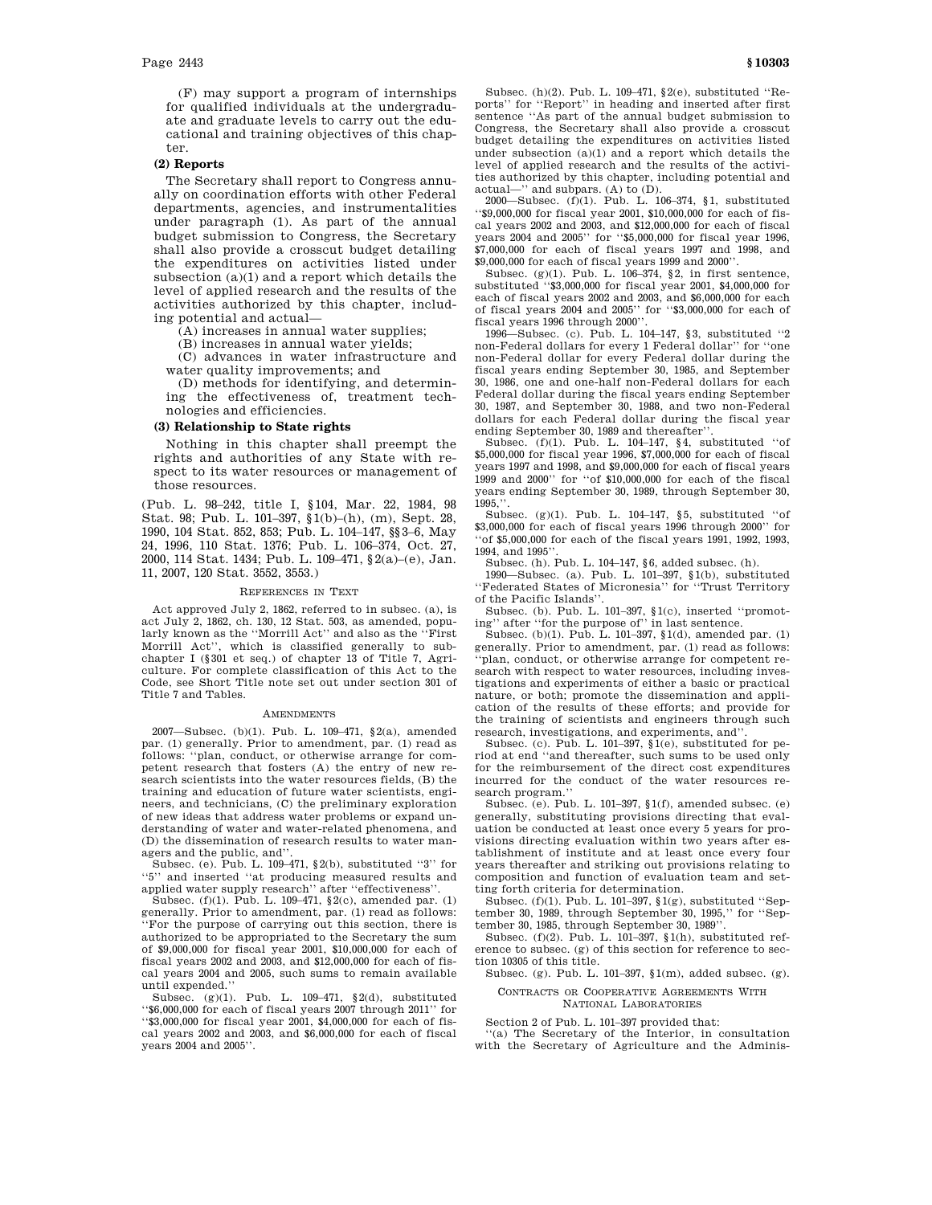(F) may support a program of internships for qualified individuals at the undergraduate and graduate levels to carry out the educational and training objectives of this chapter.

#### **(2) Reports**

The Secretary shall report to Congress annually on coordination efforts with other Federal departments, agencies, and instrumentalities under paragraph (1). As part of the annual budget submission to Congress, the Secretary shall also provide a crosscut budget detailing the expenditures on activities listed under subsection (a)(1) and a report which details the level of applied research and the results of the activities authorized by this chapter, including potential and actual—

(A) increases in annual water supplies;

(B) increases in annual water yields;

(C) advances in water infrastructure and water quality improvements; and

(D) methods for identifying, and determining the effectiveness of, treatment technologies and efficiencies.

# **(3) Relationship to State rights**

Nothing in this chapter shall preempt the rights and authorities of any State with respect to its water resources or management of those resources.

(Pub. L. 98–242, title I, §104, Mar. 22, 1984, 98 Stat. 98; Pub. L. 101–397, §1(b)–(h), (m), Sept. 28, 1990, 104 Stat. 852, 853; Pub. L. 104–147, §§3–6, May 24, 1996, 110 Stat. 1376; Pub. L. 106–374, Oct. 27, 2000, 114 Stat. 1434; Pub. L. 109–471, §2(a)–(e), Jan. 11, 2007, 120 Stat. 3552, 3553.)

#### REFERENCES IN TEXT

Act approved July 2, 1862, referred to in subsec. (a), is act July 2, 1862, ch. 130, 12 Stat. 503, as amended, popularly known as the ''Morrill Act'' and also as the ''First Morrill Act'', which is classified generally to subchapter I (§301 et seq.) of chapter 13 of Title 7, Agriculture. For complete classification of this Act to the Code, see Short Title note set out under section 301 of Title 7 and Tables.

#### **AMENDMENTS**

2007—Subsec. (b)(1). Pub. L. 109–471, §2(a), amended par. (1) generally. Prior to amendment, par. (1) read as follows: ''plan, conduct, or otherwise arrange for competent research that fosters (A) the entry of new research scientists into the water resources fields, (B) the training and education of future water scientists, engineers, and technicians, (C) the preliminary exploration of new ideas that address water problems or expand understanding of water and water-related phenomena, and (D) the dissemination of research results to water managers and the public, and''.

Subsec. (e). Pub. L. 109–471,  $\S$ 2(b), substituted "3" for ''5'' and inserted ''at producing measured results and applied water supply research'' after ''effectiveness''.

Subsec. (f)(1). Pub. L. 109–471,  $\S2(c)$ , amended par. (1) generally. Prior to amendment, par. (1) read as follows: ''For the purpose of carrying out this section, there is authorized to be appropriated to the Secretary the sum of \$9,000,000 for fiscal year 2001, \$10,000,000 for each of fiscal years 2002 and 2003, and \$12,000,000 for each of fiscal years 2004 and 2005, such sums to remain available until expended.''

Subsec. (g)(1). Pub. L. 109–471, §2(d), substituted ''\$6,000,000 for each of fiscal years 2007 through 2011'' for ''\$3,000,000 for fiscal year 2001, \$4,000,000 for each of fiscal years 2002 and 2003, and \$6,000,000 for each of fiscal years 2004 and 2005''.

Subsec. (h)(2). Pub. L. 109–471, §2(e), substituted ''Reports'' for ''Report'' in heading and inserted after first sentence ''As part of the annual budget submission to Congress, the Secretary shall also provide a crosscut budget detailing the expenditures on activities listed under subsection (a)(1) and a report which details the level of applied research and the results of the activities authorized by this chapter, including potential and actual—'' and subpars. (A) to (D).

2000—Subsec. (f)(1). Pub. L. 106–374, §1, substituted ''\$9,000,000 for fiscal year 2001, \$10,000,000 for each of fiscal years 2002 and 2003, and \$12,000,000 for each of fiscal years 2004 and 2005'' for ''\$5,000,000 for fiscal year 1996, \$7,000,000 for each of fiscal years 1997 and 1998, and \$9,000,000 for each of fiscal years 1999 and 2000''.

Subsec. (g)(1). Pub. L. 106–374, §2, in first sentence, substituted ''\$3,000,000 for fiscal year 2001, \$4,000,000 for each of fiscal years 2002 and 2003, and \$6,000,000 for each of fiscal years 2004 and 2005'' for ''\$3,000,000 for each of fiscal years 1996 through 2000''.

1996—Subsec. (c). Pub. L. 104–147, §3, substituted ''2 non-Federal dollars for every 1 Federal dollar'' for ''one non-Federal dollar for every Federal dollar during the fiscal years ending September 30, 1985, and September 30, 1986, one and one-half non-Federal dollars for each Federal dollar during the fiscal years ending September 30, 1987, and September 30, 1988, and two non-Federal dollars for each Federal dollar during the fiscal year ending September 30, 1989 and thereafter''.

Subsec. (f)(1). Pub. L. 104–147, §4, substituted ''of \$5,000,000 for fiscal year 1996, \$7,000,000 for each of fiscal years 1997 and 1998, and \$9,000,000 for each of fiscal years 1999 and 2000'' for ''of \$10,000,000 for each of the fiscal years ending September 30, 1989, through September 30, 1995,''.

Subsec. (g)(1). Pub. L. 104–147, §5, substituted ''of  $$3,000,000$  for each of fiscal years 1996 through 2000" for ''of \$5,000,000 for each of the fiscal years 1991, 1992, 1993, 1994, and 1995''.

Subsec. (h). Pub. L. 104–147, §6, added subsec. (h).

1990—Subsec. (a). Pub. L. 101–397, §1(b), substituted ''Federated States of Micronesia'' for ''Trust Territory of the Pacific Islands''.

Subsec. (b). Pub. L. 101–397, §1(c), inserted ''promoting'' after ''for the purpose of'' in last sentence.

Subsec. (b)(1). Pub. L. 101-397,  $(1)$ , amended par. (1) generally. Prior to amendment, par. (1) read as follows: 'plan, conduct, or otherwise arrange for competent research with respect to water resources, including investigations and experiments of either a basic or practical nature, or both; promote the dissemination and application of the results of these efforts; and provide for the training of scientists and engineers through such research, investigations, and experiments, and''.

Subsec. (c). Pub. L. 101–397,  $\S1(e)$ , substituted for period at end ''and thereafter, such sums to be used only for the reimbursement of the direct cost expenditures incurred for the conduct of the water resources research program.''

Subsec. (e). Pub. L. 101–397, §1(f), amended subsec. (e) generally, substituting provisions directing that evaluation be conducted at least once every 5 years for provisions directing evaluation within two years after establishment of institute and at least once every four years thereafter and striking out provisions relating to composition and function of evaluation team and setting forth criteria for determination.

Subsec. (f)(1). Pub. L. 101–397,  $\S 1(g),$  substituted ''September 30, 1989, through September 30, 1995,'' for ''September 30, 1985, through September 30, 1989''.

Subsec. (f)(2). Pub. L. 101–397, §1(h), substituted reference to subsec. (g) of this section for reference to section 10305 of this title.

Subsec. (g). Pub. L. 101–397, §1(m), added subsec. (g).

# CONTRACTS OR COOPERATIVE AGREEMENTS WITH

NATIONAL LABORATORIES

Section 2 of Pub. L. 101–397 provided that: ''(a) The Secretary of the Interior, in consultation with the Secretary of Agriculture and the Adminis-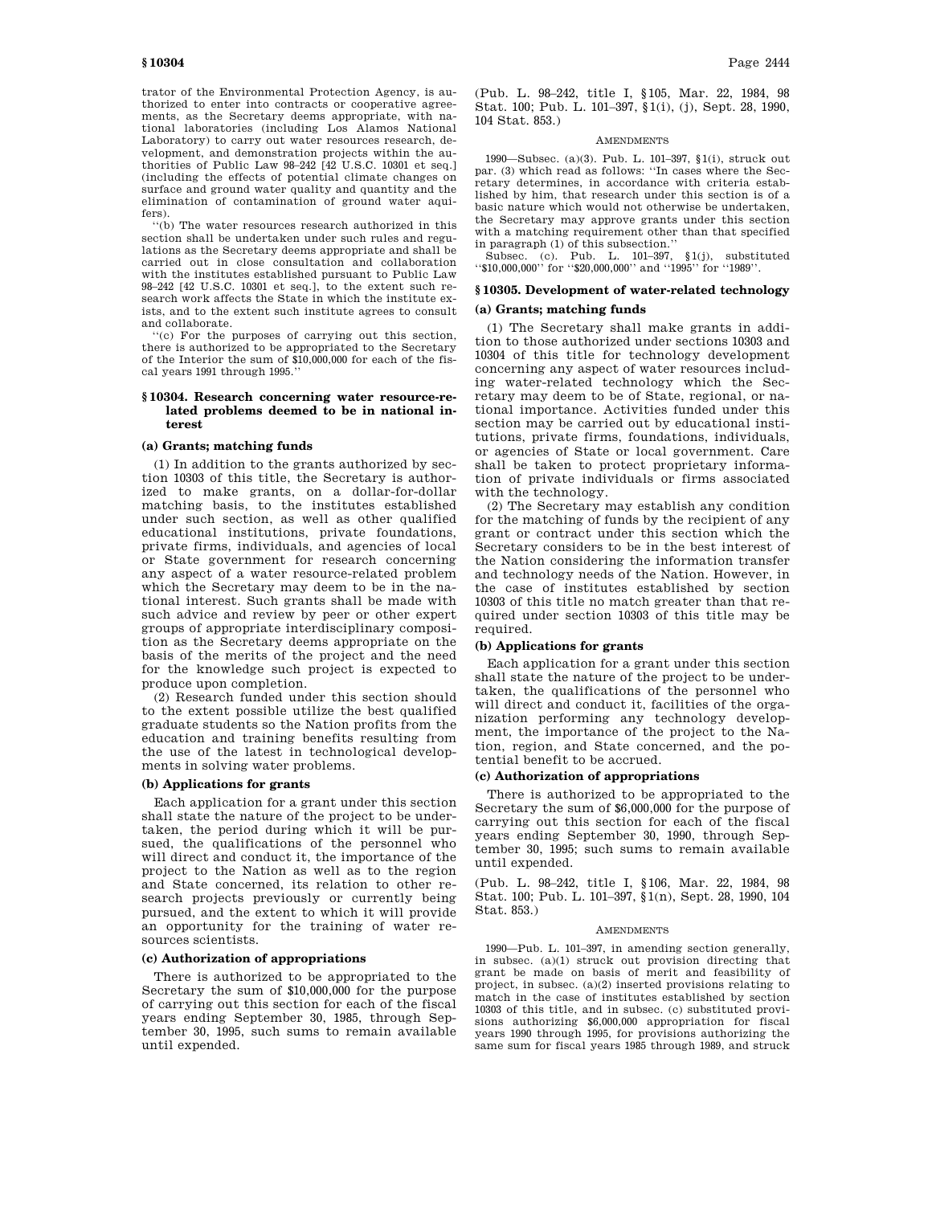trator of the Environmental Protection Agency, is authorized to enter into contracts or cooperative agreements, as the Secretary deems appropriate, with national laboratories (including Los Alamos National Laboratory) to carry out water resources research, development, and demonstration projects within the authorities of Public Law 98–242 [42 U.S.C. 10301 et seq.] (including the effects of potential climate changes on surface and ground water quality and quantity and the elimination of contamination of ground water aquifers).

''(b) The water resources research authorized in this section shall be undertaken under such rules and regulations as the Secretary deems appropriate and shall be carried out in close consultation and collaboration with the institutes established pursuant to Public Law 98–242 [42 U.S.C. 10301 et seq.], to the extent such research work affects the State in which the institute exists, and to the extent such institute agrees to consult and collaborate.

'(c) For the purposes of carrying out this section, there is authorized to be appropriated to the Secretary of the Interior the sum of \$10,000,000 for each of the fiscal years 1991 through 1995.''

## **§ 10304. Research concerning water resource-related problems deemed to be in national interest**

#### **(a) Grants; matching funds**

(1) In addition to the grants authorized by section 10303 of this title, the Secretary is authorized to make grants, on a dollar-for-dollar matching basis, to the institutes established under such section, as well as other qualified educational institutions, private foundations, private firms, individuals, and agencies of local or State government for research concerning any aspect of a water resource-related problem which the Secretary may deem to be in the national interest. Such grants shall be made with such advice and review by peer or other expert groups of appropriate interdisciplinary composition as the Secretary deems appropriate on the basis of the merits of the project and the need for the knowledge such project is expected to produce upon completion.

(2) Research funded under this section should to the extent possible utilize the best qualified graduate students so the Nation profits from the education and training benefits resulting from the use of the latest in technological developments in solving water problems.

# **(b) Applications for grants**

Each application for a grant under this section shall state the nature of the project to be undertaken, the period during which it will be pursued, the qualifications of the personnel who will direct and conduct it, the importance of the project to the Nation as well as to the region and State concerned, its relation to other research projects previously or currently being pursued, and the extent to which it will provide an opportunity for the training of water resources scientists.

## **(c) Authorization of appropriations**

There is authorized to be appropriated to the Secretary the sum of \$10,000,000 for the purpose of carrying out this section for each of the fiscal years ending September 30, 1985, through September 30, 1995, such sums to remain available until expended.

(Pub. L. 98–242, title I, § 105, Mar. 22, 1984, 98 Stat. 100; Pub. L. 101–397, §1(i), (j), Sept. 28, 1990, 104 Stat. 853.)

## **AMENDMENTS**

1990—Subsec. (a)(3). Pub. L. 101–397, §1(i), struck out par. (3) which read as follows: ''In cases where the Secretary determines, in accordance with criteria established by him, that research under this section is of a basic nature which would not otherwise be undertaken, the Secretary may approve grants under this section with a matching requirement other than that specified in paragraph (1) of this subsection.''

Subsec. (c). Pub. L. 101–397, §1(j), substituted ''\$10,000,000'' for ''\$20,000,000'' and ''1995'' for ''1989''.

# **§ 10305. Development of water-related technology**

# **(a) Grants; matching funds**

(1) The Secretary shall make grants in addition to those authorized under sections 10303 and 10304 of this title for technology development concerning any aspect of water resources including water-related technology which the Secretary may deem to be of State, regional, or national importance. Activities funded under this section may be carried out by educational institutions, private firms, foundations, individuals, or agencies of State or local government. Care shall be taken to protect proprietary information of private individuals or firms associated with the technology.

(2) The Secretary may establish any condition for the matching of funds by the recipient of any grant or contract under this section which the Secretary considers to be in the best interest of the Nation considering the information transfer and technology needs of the Nation. However, in the case of institutes established by section 10303 of this title no match greater than that required under section 10303 of this title may be required.

## **(b) Applications for grants**

Each application for a grant under this section shall state the nature of the project to be undertaken, the qualifications of the personnel who will direct and conduct it, facilities of the organization performing any technology development, the importance of the project to the Nation, region, and State concerned, and the potential benefit to be accrued.

#### **(c) Authorization of appropriations**

There is authorized to be appropriated to the Secretary the sum of \$6,000,000 for the purpose of carrying out this section for each of the fiscal years ending September 30, 1990, through September 30, 1995; such sums to remain available until expended.

(Pub. L. 98–242, title I, § 106, Mar. 22, 1984, 98 Stat. 100; Pub. L. 101–397, §1(n), Sept. 28, 1990, 104 Stat. 853.)

#### **AMENDMENTS**

1990—Pub. L. 101–397, in amending section generally, in subsec. (a)(1) struck out provision directing that grant be made on basis of merit and feasibility of project, in subsec. (a)(2) inserted provisions relating to match in the case of institutes established by section 10303 of this title, and in subsec. (c) substituted provisions authorizing \$6,000,000 appropriation for fiscal years 1990 through 1995, for provisions authorizing the same sum for fiscal years 1985 through 1989, and struck